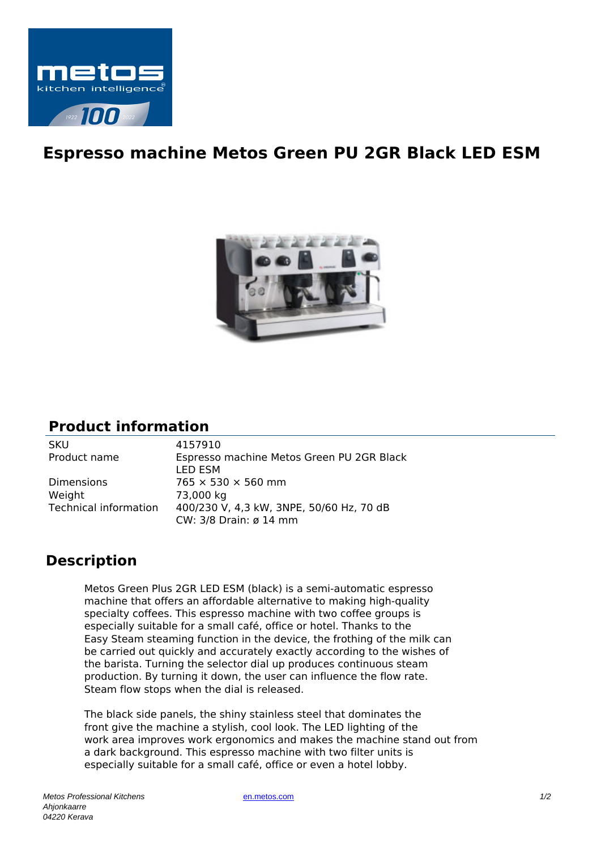

## **Espresso machine Metos Green PU 2GR Black LED ESM**



## **Product information**

SKU 4157910

Dimensions  $765 \times 530 \times 560$  mm Weight 73,000 kg

Product name Espresso machine Metos Green PU 2GR Black LED ESM Technical information 400/230 V, 4,3 kW, 3NPE, 50/60 Hz, 70 dB CW: 3/8 Drain: ø 14 mm

## **Description**

Metos Green Plus 2GR LED ESM (black) is a semi-automatic espresso machine that offers an affordable alternative to making high-quality specialty coffees. This espresso machine with two coffee groups is especially suitable for a small café, office or hotel. Thanks to the Easy Steam steaming function in the device, the frothing of the milk can be carried out quickly and accurately exactly according to the wishes of the barista. Turning the selector dial up produces continuous steam production. By turning it down, the user can influence the flow rate. Steam flow stops when the dial is released.

The black side panels, the shiny stainless steel that dominates the front give the machine a stylish, cool look. The LED lighting of the work area improves work ergonomics and makes the machine stand out from a dark background. This espresso machine with two filter units is especially suitable for a small café, office or even a hotel lobby.